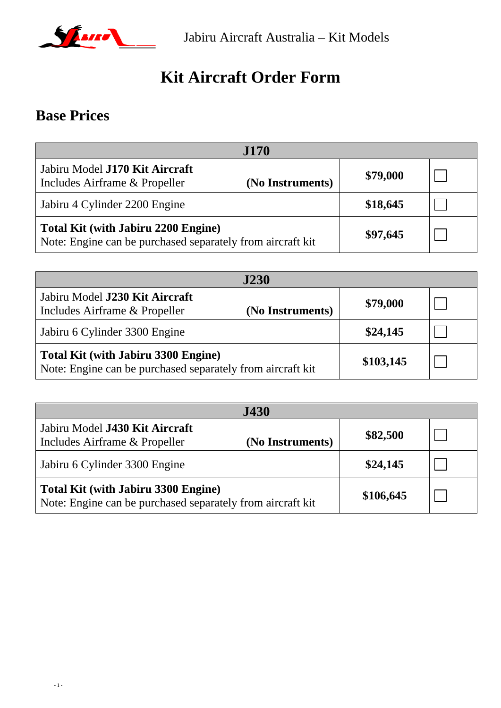

# **Kit Aircraft Order Form**

## **Base Prices**

| <b>J170</b>                                                                                              |                  |          |  |
|----------------------------------------------------------------------------------------------------------|------------------|----------|--|
| Jabiru Model J170 Kit Aircraft<br>Includes Airframe & Propeller                                          | (No Instruments) | \$79,000 |  |
| Jabiru 4 Cylinder 2200 Engine                                                                            |                  | \$18,645 |  |
| <b>Total Kit (with Jabiru 2200 Engine)</b><br>Note: Engine can be purchased separately from aircraft kit |                  | \$97,645 |  |

| <b>J230</b>                                                                                              |                  |           |  |
|----------------------------------------------------------------------------------------------------------|------------------|-----------|--|
| Jabiru Model J230 Kit Aircraft<br>Includes Airframe & Propeller                                          | (No Instruments) | \$79,000  |  |
| Jabiru 6 Cylinder 3300 Engine                                                                            |                  | \$24,145  |  |
| <b>Total Kit (with Jabiru 3300 Engine)</b><br>Note: Engine can be purchased separately from aircraft kit |                  | \$103,145 |  |

| <b>J430</b>                                                                                              |                  |           |  |
|----------------------------------------------------------------------------------------------------------|------------------|-----------|--|
| Jabiru Model J430 Kit Aircraft<br>Includes Airframe & Propeller                                          | (No Instruments) | \$82,500  |  |
| Jabiru 6 Cylinder 3300 Engine                                                                            |                  | \$24,145  |  |
| <b>Total Kit (with Jabiru 3300 Engine)</b><br>Note: Engine can be purchased separately from aircraft kit |                  | \$106,645 |  |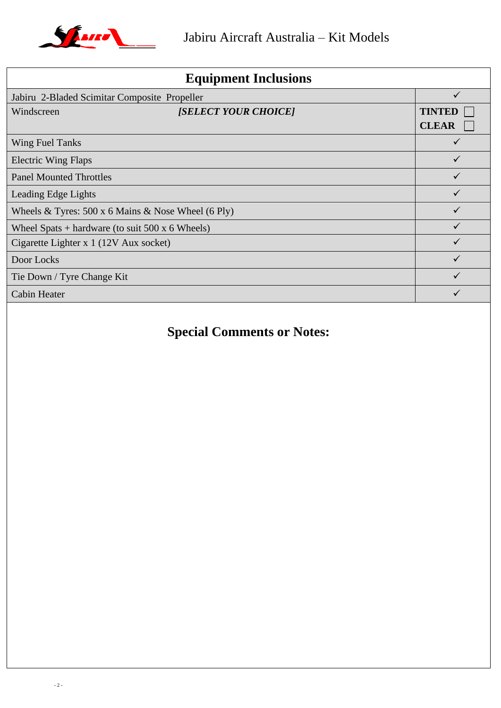

| <b>Equipment Inclusions</b>                               |                               |  |
|-----------------------------------------------------------|-------------------------------|--|
| Jabiru 2-Bladed Scimitar Composite Propeller              |                               |  |
| [SELECT YOUR CHOICE]<br>Windscreen                        | <b>TINTEI</b><br><b>CLEAR</b> |  |
| <b>Wing Fuel Tanks</b>                                    |                               |  |
| <b>Electric Wing Flaps</b>                                |                               |  |
| <b>Panel Mounted Throttles</b>                            |                               |  |
| Leading Edge Lights                                       |                               |  |
| Wheels & Tyres: $500 \times 6$ Mains & Nose Wheel (6 Ply) |                               |  |
| Wheel Spats + hardware (to suit $500 \times 6$ Wheels)    |                               |  |
| Cigarette Lighter x 1 (12V Aux socket)                    |                               |  |
| Door Locks                                                |                               |  |
| Tie Down / Tyre Change Kit                                |                               |  |
| <b>Cabin Heater</b>                                       |                               |  |

## **Special Comments or Notes:**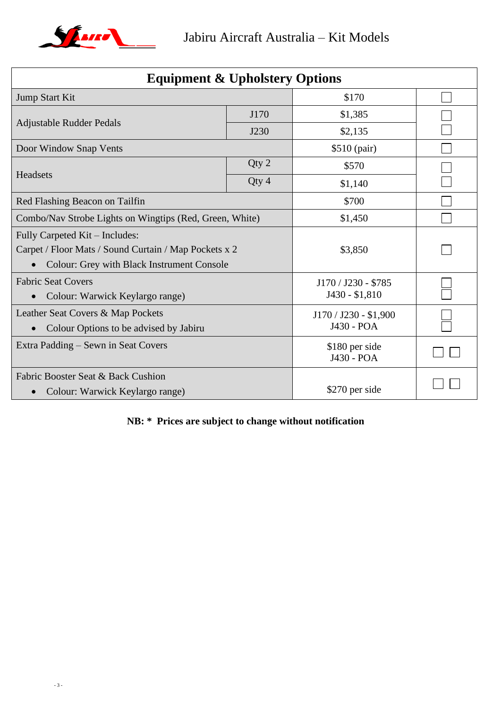

| <b>Equipment &amp; Upholstery Options</b>               |       |                              |  |
|---------------------------------------------------------|-------|------------------------------|--|
| Jump Start Kit                                          |       | \$170                        |  |
| J170                                                    |       | \$1,385                      |  |
| Adjustable Rudder Pedals                                | J230  | \$2,135                      |  |
| Door Window Snap Vents                                  |       | \$510 (pair)                 |  |
| Headsets                                                | Qty 2 | \$570                        |  |
|                                                         | Qty 4 | \$1,140                      |  |
| Red Flashing Beacon on Tailfin                          |       | \$700                        |  |
| Combo/Nav Strobe Lights on Wingtips (Red, Green, White) |       | \$1,450                      |  |
| Fully Carpeted Kit – Includes:                          |       |                              |  |
| Carpet / Floor Mats / Sound Curtain / Map Pockets x 2   |       | \$3,850                      |  |
| <b>Colour: Grey with Black Instrument Console</b>       |       |                              |  |
| <b>Fabric Seat Covers</b>                               |       | J170 / J230 - \$785          |  |
| Colour: Warwick Keylargo range)<br>$\bullet$            |       | J430 - \$1,810               |  |
| Leather Seat Covers & Map Pockets                       |       | J170 / J230 - \$1,900        |  |
| Colour Options to be advised by Jabiru<br>$\bullet$     |       | J430 - POA                   |  |
| Extra Padding – Sewn in Seat Covers                     |       | \$180 per side<br>J430 - POA |  |
| <b>Fabric Booster Seat &amp; Back Cushion</b>           |       |                              |  |
| Colour: Warwick Keylargo range)                         |       | \$270 per side               |  |

### **NB: \* Prices are subject to change without notification**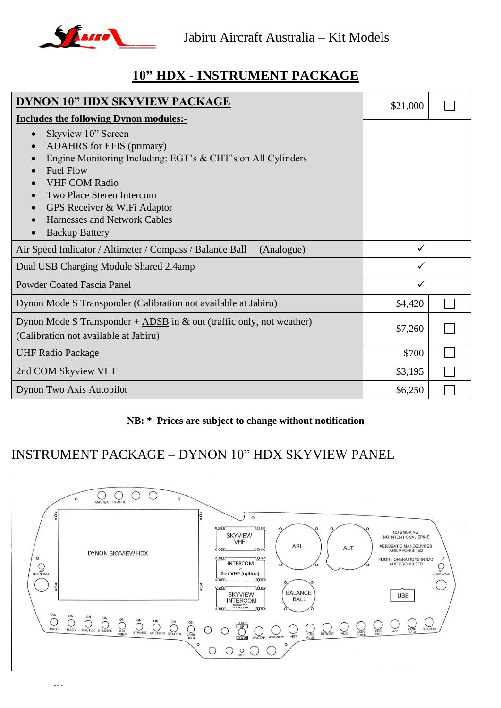

### **10" HDX - INSTRUMENT PACKAGE**

| DYNON 10" HDX SKYVIEW PACKAGE                                                                                                                                                                                                                                              | \$21,000 |  |
|----------------------------------------------------------------------------------------------------------------------------------------------------------------------------------------------------------------------------------------------------------------------------|----------|--|
| <b>Includes the following Dynon modules:-</b>                                                                                                                                                                                                                              |          |  |
| Skyview 10" Screen<br>$\bullet$<br><b>ADAHRS</b> for EFIS (primary)<br>Engine Monitoring Including: EGT's & CHT's on All Cylinders<br><b>Fuel Flow</b><br><b>VHF COM Radio</b><br>Two Place Stereo Intercom<br>GPS Receiver & WiFi Adaptor<br>Harnesses and Network Cables |          |  |
| <b>Backup Battery</b>                                                                                                                                                                                                                                                      |          |  |
| Air Speed Indicator / Altimeter / Compass / Balance Ball<br>(Analogue)                                                                                                                                                                                                     | ✓        |  |
| Dual USB Charging Module Shared 2.4amp                                                                                                                                                                                                                                     | ✓        |  |
| <b>Powder Coated Fascia Panel</b>                                                                                                                                                                                                                                          | ✓        |  |
| Dynon Mode S Transponder (Calibration not available at Jabiru)                                                                                                                                                                                                             | \$4,420  |  |
| Dynon Mode S Transponder + $\triangle DSB$ in & out (traffic only, not weather)<br>(Calibration not available at Jabiru)                                                                                                                                                   | \$7,260  |  |
| <b>UHF Radio Package</b>                                                                                                                                                                                                                                                   | \$700    |  |
| 2nd COM Skyview VHF                                                                                                                                                                                                                                                        | \$3,195  |  |
| Dynon Two Axis Autopilot                                                                                                                                                                                                                                                   | \$6,250  |  |

#### **NB: \* Prices are subject to change without notification**

### INSTRUMENT PACKAGE – DYNON 10" HDX SKYVIEW PANEL

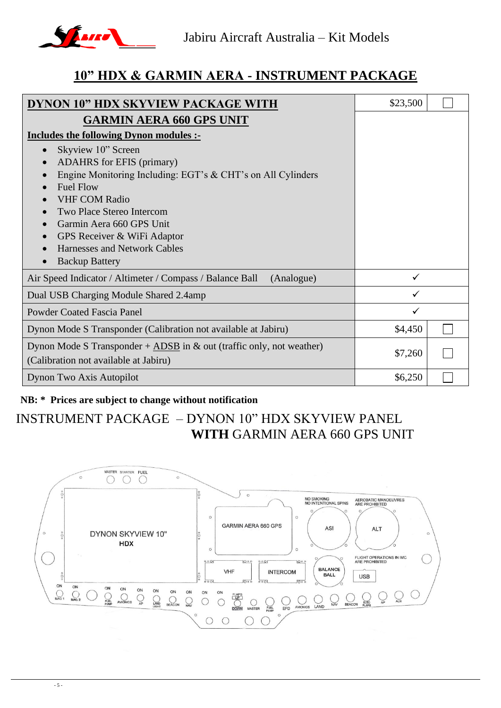

### **10" HDX & GARMIN AERA - INSTRUMENT PACKAGE**

| DYNON 10" HDX SKYVIEW PACKAGE WITH                                                                                                                                                                                                                                                                                                                                                                      | \$23,500 |  |
|---------------------------------------------------------------------------------------------------------------------------------------------------------------------------------------------------------------------------------------------------------------------------------------------------------------------------------------------------------------------------------------------------------|----------|--|
| <b>GARMIN AERA 660 GPS UNIT</b><br><b>Includes the following Dynon modules :-</b><br>Skyview 10" Screen<br><b>ADAHRS</b> for EFIS (primary)<br>Engine Monitoring Including: EGT's & CHT's on All Cylinders<br><b>Fuel Flow</b><br><b>VHF COM Radio</b><br>Two Place Stereo Intercom<br>Garmin Aera 660 GPS Unit<br>GPS Receiver & WiFi Adaptor<br>Harnesses and Network Cables<br><b>Backup Battery</b> |          |  |
| Air Speed Indicator / Altimeter / Compass / Balance Ball<br>(Analogue)                                                                                                                                                                                                                                                                                                                                  |          |  |
| Dual USB Charging Module Shared 2.4amp                                                                                                                                                                                                                                                                                                                                                                  |          |  |
| <b>Powder Coated Fascia Panel</b>                                                                                                                                                                                                                                                                                                                                                                       | ✓        |  |
| Dynon Mode S Transponder (Calibration not available at Jabiru)                                                                                                                                                                                                                                                                                                                                          | \$4,450  |  |
| Dynon Mode S Transponder $+$ ADSB in & out (traffic only, not weather)<br>(Calibration not available at Jabiru)                                                                                                                                                                                                                                                                                         | \$7,260  |  |
| Dynon Two Axis Autopilot                                                                                                                                                                                                                                                                                                                                                                                | \$6,250  |  |

#### **NB: \* Prices are subject to change without notification**

## INSTRUMENT PACKAGE – DYNON 10" HDX SKYVIEW PANEL **WITH** GARMIN AERA 660 GPS UNIT

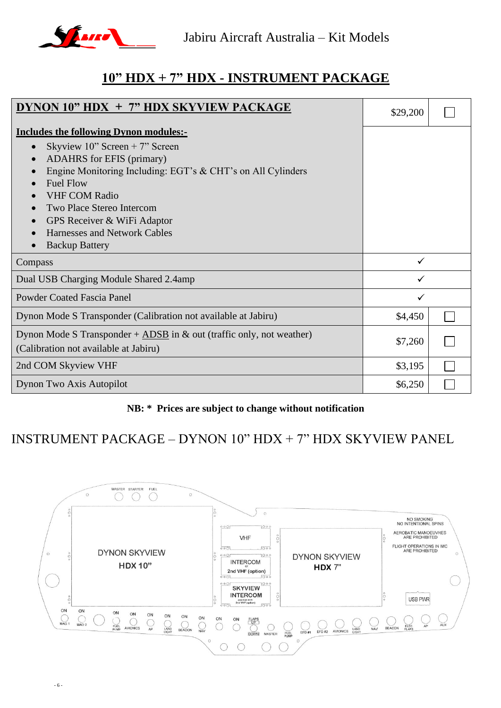

### **10" HDX + 7" HDX - INSTRUMENT PACKAGE**

| DYNON 10" HDX + 7" HDX SKYVIEW PACKAGE                                                                                                                                                                                                                                                                                                                                                                                               | \$29,200     |  |
|--------------------------------------------------------------------------------------------------------------------------------------------------------------------------------------------------------------------------------------------------------------------------------------------------------------------------------------------------------------------------------------------------------------------------------------|--------------|--|
| <b>Includes the following Dynon modules:-</b><br>Skyview $10$ " Screen + 7" Screen<br>$\bullet$<br><b>ADAHRS</b> for EFIS (primary)<br>$\bullet$<br>Engine Monitoring Including: EGT's & CHT's on All Cylinders<br>$\bullet$<br><b>Fuel Flow</b><br>$\bullet$<br><b>VHF COM Radio</b><br>Two Place Stereo Intercom<br>$\bullet$<br>GPS Receiver & WiFi Adaptor<br>$\bullet$<br>Harnesses and Network Cables<br><b>Backup Battery</b> |              |  |
| Compass                                                                                                                                                                                                                                                                                                                                                                                                                              | ✓            |  |
| Dual USB Charging Module Shared 2.4amp                                                                                                                                                                                                                                                                                                                                                                                               |              |  |
| <b>Powder Coated Fascia Panel</b>                                                                                                                                                                                                                                                                                                                                                                                                    | $\checkmark$ |  |
| Dynon Mode S Transponder (Calibration not available at Jabiru)                                                                                                                                                                                                                                                                                                                                                                       | \$4,450      |  |
| Dynon Mode S Transponder + ADSB in $\&$ out (traffic only, not weather)<br>(Calibration not available at Jabiru)                                                                                                                                                                                                                                                                                                                     | \$7,260      |  |
| 2nd COM Skyview VHF                                                                                                                                                                                                                                                                                                                                                                                                                  | \$3,195      |  |
| Dynon Two Axis Autopilot                                                                                                                                                                                                                                                                                                                                                                                                             | \$6,250      |  |

#### **NB: \* Prices are subject to change without notification**

### INSTRUMENT PACKAGE – DYNON  $10$ " HDX + 7" HDX SKYVIEW PANEL